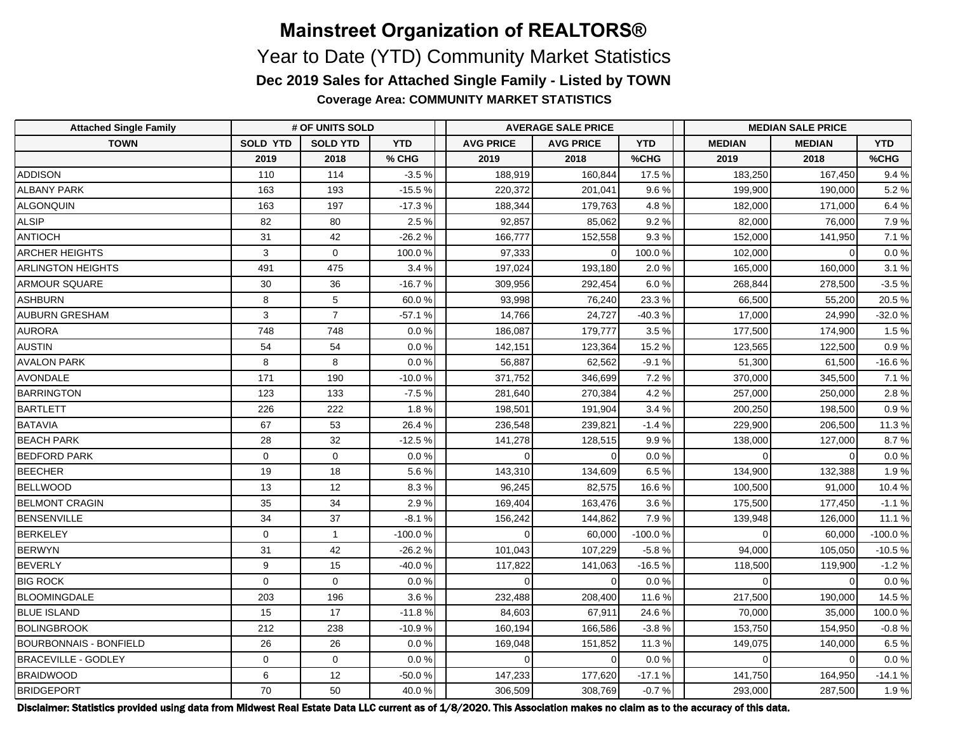**Coverage Area: COMMUNITY MARKET STATISTICS**

| <b>Attached Single Family</b> | # OF UNITS SOLD |                 |            | <b>AVERAGE SALE PRICE</b> |                  |            | <b>MEDIAN SALE PRICE</b> |               |            |  |
|-------------------------------|-----------------|-----------------|------------|---------------------------|------------------|------------|--------------------------|---------------|------------|--|
| <b>TOWN</b>                   | <b>SOLD YTD</b> | <b>SOLD YTD</b> | <b>YTD</b> | <b>AVG PRICE</b>          | <b>AVG PRICE</b> | <b>YTD</b> | <b>MEDIAN</b>            | <b>MEDIAN</b> | <b>YTD</b> |  |
|                               | 2019            | 2018            | % CHG      | 2019                      | 2018             | %CHG       | 2019                     | 2018          | %CHG       |  |
| <b>ADDISON</b>                | 110             | 114             | $-3.5%$    | 188,919                   | 160,844          | 17.5 %     | 183,250                  | 167,450       | 9.4%       |  |
| <b>ALBANY PARK</b>            | 163             | 193             | $-15.5%$   | 220,372                   | 201,041          | 9.6%       | 199,900                  | 190,000       | 5.2%       |  |
| <b>ALGONQUIN</b>              | 163             | 197             | $-17.3%$   | 188,344                   | 179,763          | 4.8%       | 182,000                  | 171,000       | 6.4%       |  |
| <b>ALSIP</b>                  | 82              | 80              | 2.5%       | 92,857                    | 85,062           | 9.2%       | 82,000                   | 76.000        | 7.9%       |  |
| ANTIOCH                       | 31              | 42              | $-26.2%$   | 166,777                   | 152,558          | 9.3%       | 152,000                  | 141.950       | 7.1 %      |  |
| <b>ARCHER HEIGHTS</b>         | 3               | $\mathbf 0$     | 100.0%     | 97,333                    |                  | 100.0%     | 102,000                  | $\Omega$      | 0.0 %      |  |
| <b>ARLINGTON HEIGHTS</b>      | 491             | 475             | 3.4%       | 197,024                   | 193,180          | 2.0%       | 165,000                  | 160,000       | 3.1%       |  |
| <b>ARMOUR SQUARE</b>          | 30              | 36              | $-16.7%$   | 309,956                   | 292,454          | 6.0%       | 268,844                  | 278,500       | $-3.5%$    |  |
| ASHBURN                       | 8               | 5               | 60.0%      | 93,998                    | 76,240           | 23.3%      | 66,500                   | 55,200        | 20.5 %     |  |
| <b>AUBURN GRESHAM</b>         | 3               | $\overline{7}$  | $-57.1%$   | 14,766                    | 24,727           | $-40.3%$   | 17,000                   | 24,990        | $-32.0%$   |  |
| <b>AURORA</b>                 | 748             | 748             | 0.0%       | 186,087                   | 179,777          | 3.5%       | 177,500                  | 174,900       | 1.5%       |  |
| <b>AUSTIN</b>                 | 54              | 54              | 0.0%       | 142,151                   | 123,364          | 15.2 %     | 123,565                  | 122,500       | 0.9%       |  |
| <b>AVALON PARK</b>            | 8               | 8               | 0.0%       | 56,887                    | 62,562           | $-9.1%$    | 51,300                   | 61,500        | $-16.6%$   |  |
| <b>AVONDALE</b>               | 171             | 190             | $-10.0%$   | 371,752                   | 346,699          | 7.2 %      | 370,000                  | 345,500       | 7.1%       |  |
| BARRINGTON                    | 123             | 133             | $-7.5%$    | 281,640                   | 270,384          | 4.2%       | 257,000                  | 250,000       | 2.8%       |  |
| BARTLETT                      | 226             | 222             | 1.8%       | 198,501                   | 191,904          | 3.4%       | 200,250                  | 198,500       | 0.9%       |  |
| BATAVIA                       | 67              | 53              | 26.4%      | 236,548                   | 239,821          | $-1.4%$    | 229,900                  | 206,500       | 11.3 %     |  |
| <b>BEACH PARK</b>             | 28              | 32              | $-12.5%$   | 141,278                   | 128,515          | 9.9%       | 138,000                  | 127,000       | 8.7%       |  |
| <b>BEDFORD PARK</b>           | $\mathbf 0$     | $\mathbf 0$     | 0.0%       | $\Omega$                  |                  | 0.0%       | $\Omega$                 |               | $0.0 \%$   |  |
| <b>BEECHER</b>                | 19              | 18              | 5.6%       | 143,310                   | 134,609          | 6.5%       | 134,900                  | 132,388       | 1.9%       |  |
| <b>BELLWOOD</b>               | 13              | 12              | 8.3%       | 96,245                    | 82,575           | 16.6%      | 100,500                  | 91,000        | 10.4%      |  |
| <b>BELMONT CRAGIN</b>         | 35              | 34              | 2.9%       | 169,404                   | 163,476          | 3.6%       | 175,500                  | 177,450       | $-1.1%$    |  |
| BENSENVILLE                   | 34              | 37              | $-8.1%$    | 156,242                   | 144,862          | 7.9%       | 139,948                  | 126,000       | 11.1 %     |  |
| BERKELEY                      | $\Omega$        | $\overline{1}$  | $-100.0%$  | $\Omega$                  | 60,000           | $-100.0%$  | $\Omega$                 | 60,000        | $-100.0%$  |  |
| <b>BERWYN</b>                 | 31              | 42              | $-26.2%$   | 101,043                   | 107,229          | $-5.8%$    | 94,000                   | 105,050       | $-10.5%$   |  |
| <b>BEVERLY</b>                | 9               | 15              | $-40.0%$   | 117,822                   | 141,063          | $-16.5%$   | 118,500                  | 119,900       | $-1.2%$    |  |
| <b>BIG ROCK</b>               | $\Omega$        | $\Omega$        | 0.0%       | $\Omega$                  |                  | 0.0%       | $\Omega$                 | $\Omega$      | $0.0\,\%$  |  |
| BLOOMINGDALE                  | 203             | 196             | 3.6%       | 232,488                   | 208,400          | 11.6 %     | 217,500                  | 190,000       | 14.5%      |  |
| <b>BLUE ISLAND</b>            | 15              | 17              | $-11.8%$   | 84,603                    | 67,911           | 24.6%      | 70,000                   | 35,000        | 100.0%     |  |
| <b>BOLINGBROOK</b>            | 212             | 238             | $-10.9%$   | 160,194                   | 166,586          | $-3.8%$    | 153,750                  | 154,950       | $-0.8%$    |  |
| <b>BOURBONNAIS - BONFIELD</b> | 26              | 26              | 0.0%       | 169,048                   | 151,852          | 11.3 %     | 149,075                  | 140,000       | 6.5%       |  |
| <b>BRACEVILLE - GODLEY</b>    | $\mathbf 0$     | $\mathbf 0$     | 0.0%       | $\Omega$                  |                  | $0.0\,\%$  | $\Omega$                 | $\Omega$      | $0.0 \%$   |  |
| <b>BRAIDWOOD</b>              | 6               | 12              | $-50.0%$   | 147,233                   | 177,620          | $-17.1%$   | 141,750                  | 164,950       | $-14.1%$   |  |
| BRIDGEPORT                    | 70              | 50              | 40.0%      | 306,509                   | 308,769          | $-0.7%$    | 293,000                  | 287,500       | 1.9%       |  |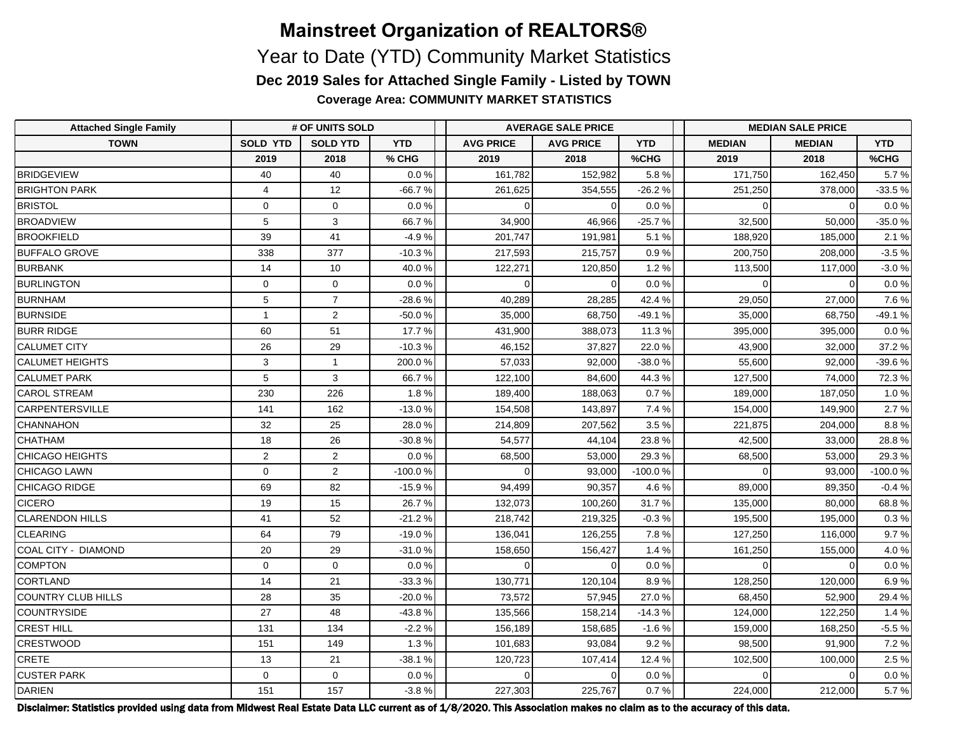**Coverage Area: COMMUNITY MARKET STATISTICS**

| <b>Attached Single Family</b> | # OF UNITS SOLD |                 |            | <b>AVERAGE SALE PRICE</b> |                  |            | <b>MEDIAN SALE PRICE</b> |               |            |  |
|-------------------------------|-----------------|-----------------|------------|---------------------------|------------------|------------|--------------------------|---------------|------------|--|
| <b>TOWN</b>                   | <b>SOLD YTD</b> | <b>SOLD YTD</b> | <b>YTD</b> | <b>AVG PRICE</b>          | <b>AVG PRICE</b> | <b>YTD</b> | <b>MEDIAN</b>            | <b>MEDIAN</b> | <b>YTD</b> |  |
|                               | 2019            | 2018            | % CHG      | 2019                      | 2018             | %CHG       | 2019                     | 2018          | %CHG       |  |
| BRIDGEVIEW                    | 40              | 40              | 0.0%       | 161,782                   | 152,982          | 5.8%       | 171,750                  | 162,450       | 5.7%       |  |
| <b>BRIGHTON PARK</b>          | $\overline{4}$  | 12              | $-66.7%$   | 261,625                   | 354,555          | $-26.2%$   | 251,250                  | 378,000       | $-33.5%$   |  |
| <b>BRISTOL</b>                | $\mathbf 0$     | $\mathbf 0$     | 0.0%       | $\Omega$                  |                  | 0.0 %      | $\Omega$                 | $\Omega$      | $0.0 \%$   |  |
| <b>BROADVIEW</b>              | 5               | 3               | 66.7%      | 34,900                    | 46,966           | $-25.7%$   | 32,500                   | 50,000        | $-35.0%$   |  |
| <b>BROOKFIELD</b>             | 39              | 41              | $-4.9%$    | 201,747                   | 191,981          | 5.1%       | 188,920                  | 185,000       | 2.1%       |  |
| <b>BUFFALO GROVE</b>          | 338             | 377             | $-10.3%$   | 217,593                   | 215,757          | 0.9%       | 200,750                  | 208,000       | $-3.5%$    |  |
| <b>BURBANK</b>                | 14              | 10              | 40.0%      | 122,271                   | 120,850          | 1.2%       | 113,500                  | 117,000       | $-3.0%$    |  |
| <b>BURLINGTON</b>             | $\mathbf 0$     | $\mathbf 0$     | 0.0%       | $\Omega$                  |                  | 0.0 %      | $\Omega$                 | $\Omega$      | 0.0 %      |  |
| BURNHAM                       | $5\phantom{.0}$ | $\overline{7}$  | $-28.6%$   | 40,289                    | 28,285           | 42.4%      | 29,050                   | 27,000        | 7.6%       |  |
| BURNSIDE                      | $\mathbf{1}$    | $\overline{2}$  | $-50.0%$   | 35,000                    | 68,750           | $-49.1%$   | 35,000                   | 68.750        | $-49.1%$   |  |
| <b>BURR RIDGE</b>             | 60              | 51              | 17.7 %     | 431,900                   | 388.073          | 11.3 %     | 395,000                  | 395.000       | 0.0 %      |  |
| <b>CALUMET CITY</b>           | 26              | 29              | $-10.3%$   | 46,152                    | 37,827           | 22.0%      | 43,900                   | 32,000        | 37.2 %     |  |
| <b>CALUMET HEIGHTS</b>        | 3               | $\mathbf{1}$    | 200.0%     | 57,033                    | 92,000           | $-38.0%$   | 55,600                   | 92,000        | $-39.6%$   |  |
| CALUMET PARK                  | 5               | 3               | 66.7%      | 122,100                   | 84.600           | 44.3%      | 127,500                  | 74.000        | 72.3%      |  |
| <b>CAROL STREAM</b>           | 230             | 226             | 1.8%       | 189,400                   | 188,063          | 0.7%       | 189,000                  | 187,050       | 1.0%       |  |
| <b>CARPENTERSVILLE</b>        | 141             | 162             | $-13.0%$   | 154,508                   | 143,897          | 7.4 %      | 154,000                  | 149,900       | 2.7%       |  |
| CHANNAHON                     | 32              | 25              | 28.0%      | 214,809                   | 207,562          | 3.5%       | 221,875                  | 204,000       | 8.8%       |  |
| CHATHAM                       | 18              | 26              | $-30.8%$   | 54,577                    | 44,104           | 23.8%      | 42,500                   | 33,000        | 28.8%      |  |
| CHICAGO HEIGHTS               | 2               | 2               | 0.0%       | 68,500                    | 53,000           | 29.3%      | 68,500                   | 53,000        | 29.3%      |  |
| CHICAGO LAWN                  | $\Omega$        | 2               | $-100.0%$  | $\Omega$                  | 93.000           | $-100.0%$  | $\Omega$                 | 93.000        | $-100.0%$  |  |
| CHICAGO RIDGE                 | 69              | 82              | $-15.9%$   | 94,499                    | 90,357           | 4.6%       | 89,000                   | 89,350        | $-0.4%$    |  |
| <b>CICERO</b>                 | 19              | 15              | 26.7%      | 132,073                   | 100,260          | 31.7%      | 135,000                  | 80,000        | 68.8%      |  |
| <b>CLARENDON HILLS</b>        | 41              | 52              | $-21.2%$   | 218,742                   | 219,325          | $-0.3%$    | 195,500                  | 195,000       | 0.3%       |  |
| CLEARING                      | 64              | 79              | $-19.0%$   | 136,041                   | 126,255          | 7.8%       | 127,250                  | 116,000       | 9.7%       |  |
| COAL CITY - DIAMOND           | 20              | 29              | $-31.0%$   | 158,650                   | 156,427          | 1.4%       | 161,250                  | 155,000       | 4.0%       |  |
| <b>COMPTON</b>                | $\mathbf 0$     | $\mathbf 0$     | 0.0%       | $\Omega$                  |                  | $0.0 \%$   | $\Omega$                 | $\mathsf{C}$  | $0.0\,\%$  |  |
| CORTLAND                      | 14              | 21              | $-33.3%$   | 130,771                   | 120,104          | 8.9%       | 128,250                  | 120,000       | 6.9%       |  |
| COUNTRY CLUB HILLS            | 28              | 35              | $-20.0%$   | 73,572                    | 57,945           | 27.0%      | 68,450                   | 52,900        | 29.4%      |  |
| COUNTRYSIDE                   | 27              | 48              | $-43.8%$   | 135,566                   | 158,214          | $-14.3%$   | 124,000                  | 122,250       | 1.4%       |  |
| <b>CREST HILL</b>             | 131             | 134             | $-2.2%$    | 156,189                   | 158,685          | $-1.6%$    | 159,000                  | 168,250       | $-5.5%$    |  |
| <b>CRESTWOOD</b>              | 151             | 149             | 1.3%       | 101,683                   | 93,084           | 9.2%       | 98,500                   | 91,900        | 7.2%       |  |
| <b>CRETE</b>                  | 13              | 21              | $-38.1%$   | 120,723                   | 107,414          | 12.4 %     | 102,500                  | 100,000       | 2.5%       |  |
| <b>CUSTER PARK</b>            | $\mathbf 0$     | $\mathbf 0$     | 0.0%       | $\Omega$                  |                  | $0.0\,\%$  | $\Omega$                 |               | 0.0 %      |  |
| DARIEN                        | 151             | 157             | $-3.8%$    | 227,303                   | 225,767          | 0.7%       | 224,000                  | 212,000       | 5.7%       |  |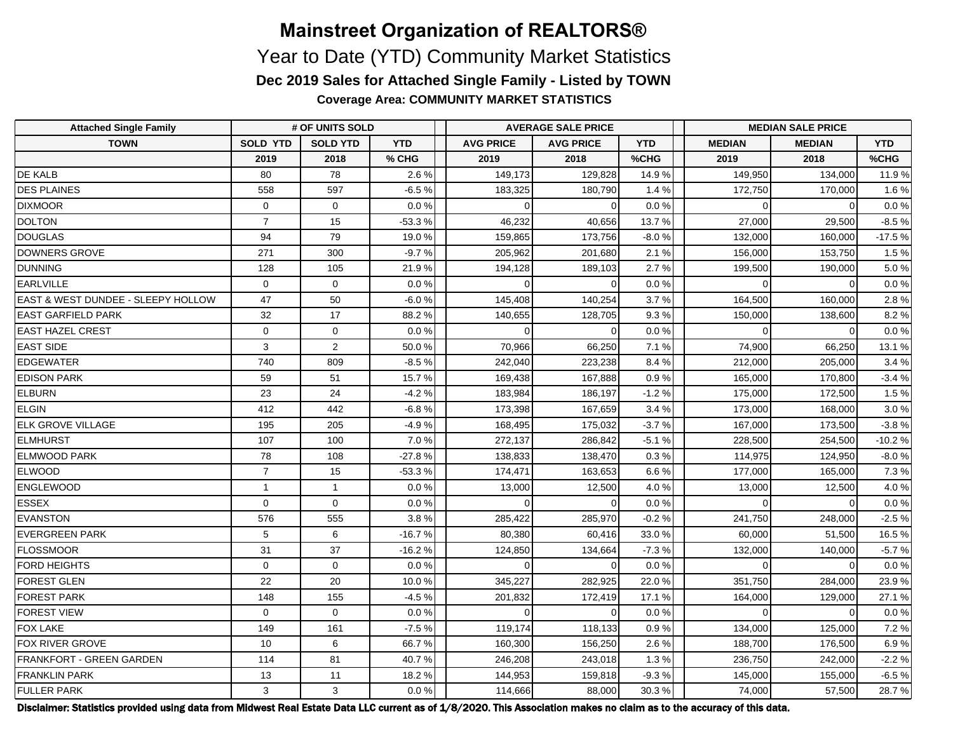**Coverage Area: COMMUNITY MARKET STATISTICS**

| <b>Attached Single Family</b>                 | # OF UNITS SOLD |                 |            |                  | <b>AVERAGE SALE PRICE</b> |            | <b>MEDIAN SALE PRICE</b> |               |            |  |
|-----------------------------------------------|-----------------|-----------------|------------|------------------|---------------------------|------------|--------------------------|---------------|------------|--|
| <b>TOWN</b>                                   | <b>SOLD YTD</b> | <b>SOLD YTD</b> | <b>YTD</b> | <b>AVG PRICE</b> | <b>AVG PRICE</b>          | <b>YTD</b> | <b>MEDIAN</b>            | <b>MEDIAN</b> | <b>YTD</b> |  |
|                                               | 2019            | 2018            | % CHG      | 2019             | 2018                      | %CHG       | 2019                     | 2018          | %CHG       |  |
| <b>DE KALB</b>                                | 80              | 78              | 2.6%       | 149,173          | 129.828                   | 14.9%      | 149.950                  | 134,000       | 11.9%      |  |
| <b>DES PLAINES</b>                            | 558             | 597             | $-6.5%$    | 183,325          | 180,790                   | 1.4%       | 172,750                  | 170,000       | 1.6%       |  |
| <b>DIXMOOR</b>                                | $\Omega$        | $\mathbf 0$     | $0.0 \%$   | $\Omega$         | $\Omega$                  | 0.0%       | $\Omega$                 | $\Omega$      | 0.0%       |  |
| <b>DOLTON</b>                                 | $\overline{7}$  | 15              | $-53.3%$   | 46,232           | 40,656                    | 13.7%      | 27,000                   | 29,500        | $-8.5%$    |  |
| DOUGLAS                                       | 94              | 79              | 19.0%      | 159,865          | 173,756                   | $-8.0%$    | 132,000                  | 160,000       | $-17.5%$   |  |
| DOWNERS GROVE                                 | 271             | 300             | $-9.7%$    | 205,962          | 201,680                   | 2.1%       | 156,000                  | 153,750       | 1.5%       |  |
| DUNNING                                       | 128             | 105             | 21.9%      | 194,128          | 189,103                   | 2.7%       | 199,500                  | 190,000       | 5.0%       |  |
| EARLVILLE                                     | $\mathbf 0$     | $\mathbf 0$     | $0.0\%$    | $\Omega$         |                           | 0.0%       | $\Omega$                 | $\Omega$      | $0.0\,\%$  |  |
| <b>EAST &amp; WEST DUNDEE - SLEEPY HOLLOW</b> | 47              | 50              | $-6.0%$    | 145,408          | 140,254                   | 3.7%       | 164,500                  | 160,000       | 2.8%       |  |
| <b>EAST GARFIELD PARK</b>                     | 32              | 17              | 88.2%      | 140,655          | 128,705                   | 9.3%       | 150,000                  | 138,600       | 8.2%       |  |
| EAST HAZEL CREST                              | $\mathbf 0$     | 0               | $0.0\%$    | $\Omega$         |                           | 0.0%       | $\Omega$                 | $\Omega$      | $0.0 \%$   |  |
| <b>EAST SIDE</b>                              | 3               | $\overline{2}$  | 50.0%      | 70,966           | 66,250                    | 7.1%       | 74,900                   | 66,250        | 13.1 %     |  |
| <b>EDGEWATER</b>                              | 740             | 809             | $-8.5%$    | 242,040          | 223.238                   | 8.4%       | 212,000                  | 205.000       | 3.4%       |  |
| <b>EDISON PARK</b>                            | 59              | 51              | 15.7%      | 169,438          | 167,888                   | 0.9%       | 165,000                  | 170,800       | $-3.4%$    |  |
| <b>ELBURN</b>                                 | 23              | 24              | $-4.2%$    | 183,984          | 186,197                   | $-1.2%$    | 175,000                  | 172,500       | 1.5%       |  |
| ELGIN                                         | 412             | 442             | $-6.8%$    | 173,398          | 167,659                   | 3.4%       | 173,000                  | 168,000       | 3.0%       |  |
| <b>ELK GROVE VILLAGE</b>                      | 195             | 205             | $-4.9%$    | 168,495          | 175,032                   | $-3.7%$    | 167,000                  | 173,500       | $-3.8%$    |  |
| <b>ELMHURST</b>                               | 107             | 100             | 7.0%       | 272,137          | 286,842                   | $-5.1%$    | 228,500                  | 254,500       | $-10.2%$   |  |
| <b>ELMWOOD PARK</b>                           | 78              | 108             | $-27.8%$   | 138,833          | 138,470                   | 0.3%       | 114,975                  | 124,950       | $-8.0%$    |  |
| <b>ELWOOD</b>                                 | $\overline{7}$  | 15              | $-53.3%$   | 174,471          | 163,653                   | 6.6%       | 177,000                  | 165,000       | 7.3%       |  |
| ENGLEWOOD                                     | $\mathbf{1}$    | $\mathbf{1}$    | 0.0%       | 13,000           | 12,500                    | 4.0%       | 13,000                   | 12,500        | 4.0%       |  |
| <b>ESSEX</b>                                  | $\mathbf 0$     | $\mathbf 0$     | 0.0 %      | $\Omega$         |                           | 0.0%       | $\Omega$                 |               | $0.0 \%$   |  |
| <b>EVANSTON</b>                               | 576             | 555             | 3.8%       | 285,422          | 285,970                   | $-0.2%$    | 241,750                  | 248,000       | $-2.5%$    |  |
| <b>EVERGREEN PARK</b>                         | 5               | 6               | $-16.7%$   | 80.380           | 60.416                    | 33.0%      | 60,000                   | 51.500        | 16.5%      |  |
| FLOSSMOOR                                     | 31              | 37              | $-16.2%$   | 124,850          | 134,664                   | $-7.3%$    | 132,000                  | 140,000       | $-5.7%$    |  |
| <b>FORD HEIGHTS</b>                           | $\mathbf 0$     | $\mathbf 0$     | $0.0\%$    | $\Omega$         | $\Omega$                  | 0.0%       | $\Omega$                 | $\Omega$      | 0.0%       |  |
| <b>FOREST GLEN</b>                            | 22              | 20              | 10.0%      | 345,227          | 282,925                   | 22.0%      | 351,750                  | 284,000       | 23.9%      |  |
| <b>FOREST PARK</b>                            | 148             | 155             | $-4.5%$    | 201,832          | 172,419                   | 17.1%      | 164,000                  | 129,000       | 27.1%      |  |
| <b>FOREST VIEW</b>                            | $\mathbf 0$     | $\mathbf 0$     | $0.0 \%$   | $\Omega$         | $\Omega$                  | 0.0%       | $\Omega$                 | $\Omega$      | $0.0 \%$   |  |
| <b>FOX LAKE</b>                               | 149             | 161             | $-7.5%$    | 119,174          | 118,133                   | 0.9%       | 134,000                  | 125,000       | 7.2%       |  |
| <b>FOX RIVER GROVE</b>                        | 10              | 6               | 66.7%      | 160,300          | 156,250                   | 2.6%       | 188,700                  | 176,500       | 6.9%       |  |
| <b>FRANKFORT - GREEN GARDEN</b>               | 114             | 81              | 40.7%      | 246,208          | 243,018                   | 1.3%       | 236,750                  | 242,000       | $-2.2%$    |  |
| <b>FRANKLIN PARK</b>                          | 13              | 11              | 18.2%      | 144,953          | 159,818                   | $-9.3%$    | 145,000                  | 155,000       | $-6.5%$    |  |
| <b>FULLER PARK</b>                            | 3               | $\mathbf{3}$    | 0.0 %      | 114,666          | 88,000                    | 30.3%      | 74,000                   | 57,500        | 28.7%      |  |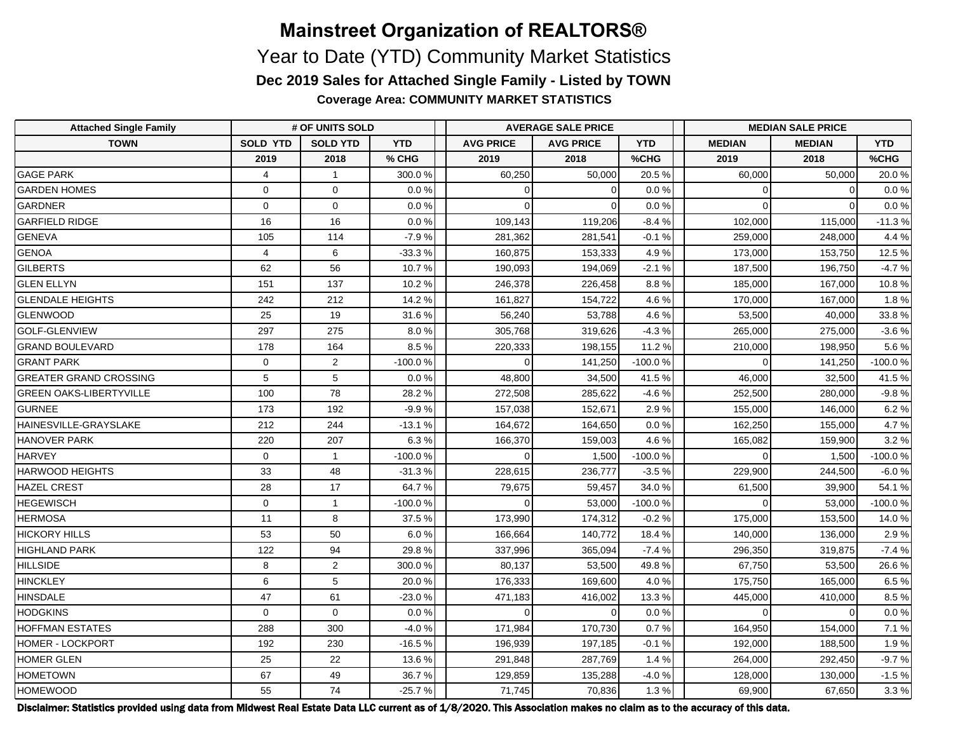# **Mainstreet Organization of REALTORS®** Year to Date (YTD) Community Market Statistics

**Dec 2019 Sales for Attached Single Family - Listed by TOWN**

**Coverage Area: COMMUNITY MARKET STATISTICS**

| <b>Attached Single Family</b>  | # OF UNITS SOLD |                 |            |                  | <b>AVERAGE SALE PRICE</b> |            | <b>MEDIAN SALE PRICE</b> |               |            |  |
|--------------------------------|-----------------|-----------------|------------|------------------|---------------------------|------------|--------------------------|---------------|------------|--|
| <b>TOWN</b>                    | <b>SOLD YTD</b> | <b>SOLD YTD</b> | <b>YTD</b> | <b>AVG PRICE</b> | <b>AVG PRICE</b>          | <b>YTD</b> | <b>MEDIAN</b>            | <b>MEDIAN</b> | <b>YTD</b> |  |
|                                | 2019            | 2018            | % CHG      | 2019             | 2018                      | %CHG       | 2019                     | 2018          | %CHG       |  |
| <b>GAGE PARK</b>               | $\overline{4}$  | $\mathbf{1}$    | 300.0%     | 60,250           | 50,000                    | 20.5%      | 60,000                   | 50,000        | 20.0%      |  |
| <b>GARDEN HOMES</b>            | $\mathbf 0$     | $\mathbf 0$     | 0.0 %      | $\mathbf 0$      | $\Omega$                  | 0.0%       | 0                        |               | 0.0%       |  |
| <b>GARDNER</b>                 | $\mathbf 0$     | $\mathbf 0$     | 0.0%       | $\Omega$         | $\Omega$                  | 0.0 %      | $\Omega$                 | $\mathsf{C}$  | 0.0%       |  |
| <b>GARFIELD RIDGE</b>          | 16              | 16              | 0.0%       | 109,143          | 119,206                   | $-8.4%$    | 102,000                  | 115,000       | $-11.3%$   |  |
| <b>GENEVA</b>                  | 105             | 114             | $-7.9%$    | 281,362          | 281,541                   | $-0.1%$    | 259,000                  | 248,000       | 4.4 %      |  |
| GENOA                          | $\overline{4}$  | 6               | $-33.3%$   | 160,875          | 153,333                   | 4.9%       | 173,000                  | 153,750       | 12.5 %     |  |
| GILBERTS                       | 62              | 56              | 10.7%      | 190,093          | 194,069                   | $-2.1%$    | 187,500                  | 196,750       | $-4.7%$    |  |
| <b>GLEN ELLYN</b>              | 151             | 137             | 10.2%      | 246,378          | 226,458                   | 8.8%       | 185,000                  | 167,000       | 10.8%      |  |
| <b>GLENDALE HEIGHTS</b>        | 242             | 212             | 14.2%      | 161,827          | 154,722                   | 4.6%       | 170,000                  | 167,000       | 1.8%       |  |
| GLENWOOD                       | 25              | 19              | 31.6%      | 56,240           | 53,788                    | 4.6%       | 53,500                   | 40,000        | 33.8%      |  |
| <b>GOLF-GLENVIEW</b>           | 297             | 275             | 8.0%       | 305,768          | 319,626                   | $-4.3%$    | 265,000                  | 275,000       | $-3.6%$    |  |
| <b>GRAND BOULEVARD</b>         | 178             | 164             | 8.5%       | 220,333          | 198,155                   | 11.2 %     | 210,000                  | 198,950       | 5.6 %      |  |
| <b>GRANT PARK</b>              | $\mathbf 0$     | 2               | $-100.0%$  | $\Omega$         | 141,250                   | $-100.0%$  | $\Omega$                 | 141,250       | -100.0 %   |  |
| <b>GREATER GRAND CROSSING</b>  | 5               | 5               | 0.0%       | 48,800           | 34,500                    | 41.5%      | 46,000                   | 32,500        | 41.5 %     |  |
| <b>GREEN OAKS-LIBERTYVILLE</b> | 100             | 78              | 28.2%      | 272,508          | 285,622                   | $-4.6%$    | 252,500                  | 280,000       | $-9.8%$    |  |
| <b>GURNEE</b>                  | 173             | 192             | $-9.9%$    | 157,038          | 152,671                   | 2.9%       | 155,000                  | 146,000       | 6.2%       |  |
| HAINESVILLE-GRAYSLAKE          | 212             | 244             | $-13.1%$   | 164,672          | 164,650                   | 0.0%       | 162,250                  | 155,000       | 4.7%       |  |
| HANOVER PARK                   | 220             | 207             | 6.3%       | 166,370          | 159,003                   | 4.6%       | 165,082                  | 159,900       | 3.2%       |  |
| <b>HARVEY</b>                  | $\mathbf 0$     | $\mathbf{1}$    | -100.0%    | $\Omega$         | 1,500                     | $-100.0%$  | $\Omega$                 | 1,500         | -100.0%    |  |
| <b>HARWOOD HEIGHTS</b>         | 33              | 48              | $-31.3%$   | 228,615          | 236,777                   | $-3.5%$    | 229,900                  | 244,500       | $-6.0%$    |  |
| HAZEL CREST                    | 28              | 17              | 64.7%      | 79,675           | 59,457                    | 34.0 %     | 61,500                   | 39,900        | 54.1%      |  |
| <b>HEGEWISCH</b>               | $\Omega$        | $\mathbf{1}$    | $-100.0%$  | $\Omega$         | 53,000                    | $-100.0%$  | $\Omega$                 | 53,000        | $-100.0%$  |  |
| <b>HERMOSA</b>                 | 11              | 8               | 37.5%      | 173,990          | 174,312                   | $-0.2%$    | 175,000                  | 153,500       | 14.0%      |  |
| <b>HICKORY HILLS</b>           | 53              | 50              | 6.0%       | 166,664          | 140,772                   | 18.4%      | 140,000                  | 136,000       | 2.9%       |  |
| <b>HIGHLAND PARK</b>           | 122             | 94              | 29.8%      | 337,996          | 365,094                   | $-7.4%$    | 296,350                  | 319,875       | $-7.4%$    |  |
| <b>HILLSIDE</b>                | 8               | 2               | 300.0%     | 80,137           | 53,500                    | 49.8%      | 67,750                   | 53,500        | 26.6%      |  |
| HINCKLEY                       | 6               | 5               | 20.0%      | 176,333          | 169,600                   | 4.0%       | 175,750                  | 165,000       | 6.5%       |  |
| HINSDALE                       | 47              | 61              | $-23.0%$   | 471,183          | 416,002                   | 13.3%      | 445,000                  | 410,000       | 8.5%       |  |
| <b>HODGKINS</b>                | $\mathbf 0$     | $\mathbf 0$     | $0.0\,\%$  | $\Omega$         | $\Omega$                  | 0.0%       | $\Omega$                 | $\Omega$      | 0.0%       |  |
| <b>HOFFMAN ESTATES</b>         | 288             | 300             | $-4.0%$    | 171,984          | 170,730                   | 0.7%       | 164,950                  | 154,000       | 7.1%       |  |
| <b>HOMER - LOCKPORT</b>        | 192             | 230             | $-16.5%$   | 196,939          | 197,185                   | $-0.1%$    | 192,000                  | 188,500       | 1.9%       |  |
| <b>HOMER GLEN</b>              | 25              | 22              | 13.6%      | 291,848          | 287,769                   | 1.4%       | 264,000                  | 292,450       | $-9.7%$    |  |
| <b>HOMETOWN</b>                | 67              | 49              | 36.7%      | 129,859          | 135,288                   | $-4.0%$    | 128,000                  | 130,000       | $-1.5%$    |  |
| <b>HOMEWOOD</b>                | 55              | 74              | $-25.7%$   | 71,745           | 70,836                    | 1.3%       | 69,900                   | 67,650        | 3.3%       |  |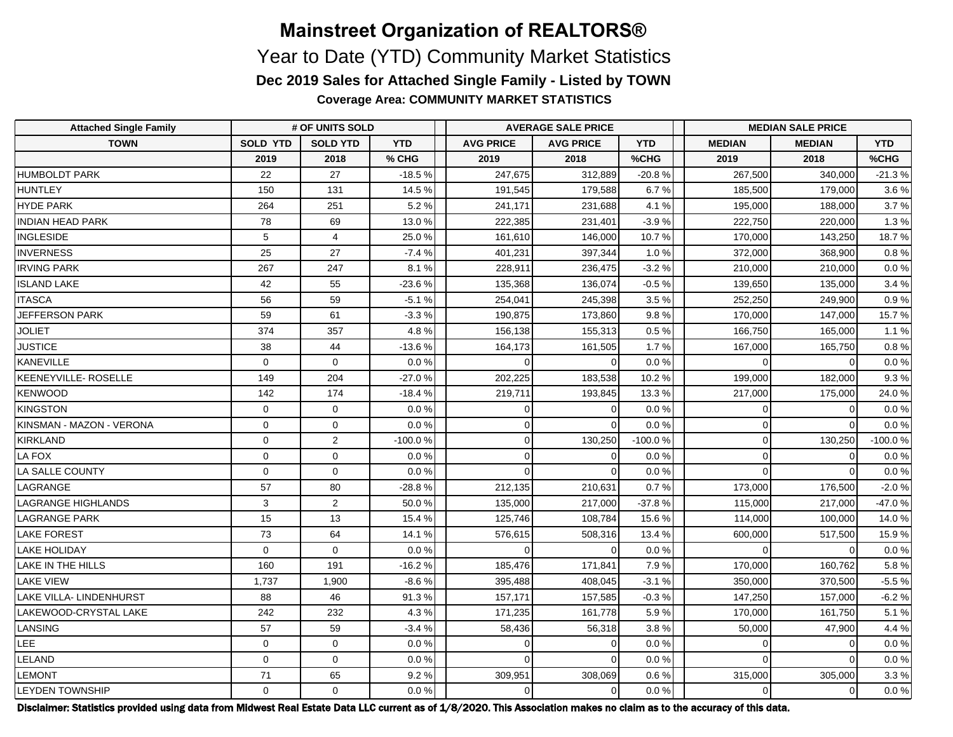**Coverage Area: COMMUNITY MARKET STATISTICS**

| <b>Attached Single Family</b>  | # OF UNITS SOLD |                 |            | <b>AVERAGE SALE PRICE</b> |                  |            | <b>MEDIAN SALE PRICE</b> |               |            |  |
|--------------------------------|-----------------|-----------------|------------|---------------------------|------------------|------------|--------------------------|---------------|------------|--|
| <b>TOWN</b>                    | <b>SOLD YTD</b> | <b>SOLD YTD</b> | <b>YTD</b> | <b>AVG PRICE</b>          | <b>AVG PRICE</b> | <b>YTD</b> | <b>MEDIAN</b>            | <b>MEDIAN</b> | <b>YTD</b> |  |
|                                | 2019            | 2018            | % CHG      | 2019                      | 2018             | %CHG       | 2019                     | 2018          | %CHG       |  |
| <b>HUMBOLDT PARK</b>           | 22              | 27              | $-18.5%$   | 247,675                   | 312,889          | $-20.8%$   | 267,500                  | 340,000       | $-21.3%$   |  |
| HUNTLEY                        | 150             | 131             | 14.5 %     | 191,545                   | 179,588          | 6.7%       | 185,500                  | 179,000       | 3.6%       |  |
| <b>HYDE PARK</b>               | 264             | 251             | 5.2%       | 241,171                   | 231,688          | 4.1%       | 195,000                  | 188,000       | 3.7%       |  |
| <b>INDIAN HEAD PARK</b>        | 78              | 69              | 13.0%      | 222,385                   | 231,401          | $-3.9%$    | 222,750                  | 220,000       | 1.3%       |  |
| <b>INGLESIDE</b>               | 5               | $\overline{4}$  | 25.0%      | 161,610                   | 146,000          | 10.7%      | 170,000                  | 143,250       | 18.7%      |  |
| <b>INVERNESS</b>               | 25              | 27              | $-7.4%$    | 401,231                   | 397,344          | 1.0%       | 372,000                  | 368,900       | 0.8%       |  |
| <b>IRVING PARK</b>             | 267             | 247             | 8.1%       | 228,911                   | 236,475          | $-3.2%$    | 210,000                  | 210,000       | $0.0\,\%$  |  |
| <b>ISLAND LAKE</b>             | 42              | 55              | $-23.6%$   | 135,368                   | 136,074          | $-0.5%$    | 139,650                  | 135,000       | 3.4%       |  |
| <b>ITASCA</b>                  | 56              | 59              | $-5.1%$    | 254,041                   | 245,398          | 3.5%       | 252,250                  | 249,900       | 0.9%       |  |
| JEFFERSON PARK                 | 59              | 61              | $-3.3%$    | 190,875                   | 173,860          | 9.8%       | 170,000                  | 147,000       | 15.7%      |  |
| <b>JOLIET</b>                  | 374             | 357             | 4.8%       | 156,138                   | 155,313          | 0.5%       | 166,750                  | 165,000       | 1.1%       |  |
| <b>JUSTICE</b>                 | 38              | 44              | $-13.6%$   | 164,173                   | 161,505          | 1.7%       | 167,000                  | 165,750       | 0.8%       |  |
| <b>KANEVILLE</b>               | $\mathbf 0$     | $\mathbf 0$     | 0.0%       | $\Omega$                  | $\Omega$         | 0.0%       | $\Omega$                 | $\Omega$      | 0.0%       |  |
| KEENEYVILLE- ROSELLE           | 149             | 204             | $-27.0%$   | 202,225                   | 183,538          | 10.2%      | 199,000                  | 182,000       | 9.3%       |  |
| KENWOOD                        | 142             | 174             | $-18.4%$   | 219,711                   | 193,845          | 13.3%      | 217,000                  | 175,000       | 24.0%      |  |
| <b>KINGSTON</b>                | $\mathbf{0}$    | $\mathbf 0$     | 0.0%       | $\Omega$                  | $\Omega$         | 0.0%       | $\overline{0}$           | $\Omega$      | 0.0%       |  |
| KINSMAN - MAZON - VERONA       | $\mathbf 0$     | $\mathbf 0$     | 0.0%       | $\Omega$                  | $\Omega$         | 0.0%       | $\Omega$                 | $\Omega$      | 0.0%       |  |
| KIRKLAND                       | $\mathbf{0}$    | $\overline{2}$  | -100.0%    | $\overline{0}$            | 130,250          | -100.0%    | $\overline{0}$           | 130,250       | -100.0%    |  |
| LA FOX                         | $\mathbf 0$     | $\mathbf 0$     | 0.0%       | $\Omega$                  | $\Omega$         | 0.0%       | $\overline{0}$           | $\Omega$      | 0.0%       |  |
| LA SALLE COUNTY                | $\mathbf 0$     | $\mathbf 0$     | 0.0%       | $\Omega$                  | $\Omega$         | 0.0%       | $\Omega$                 | $\Omega$      | 0.0 %      |  |
| LAGRANGE                       | 57              | 80              | $-28.8%$   | 212,135                   | 210,631          | 0.7%       | 173,000                  | 176,500       | $-2.0%$    |  |
| LAGRANGE HIGHLANDS             | 3               | $\overline{2}$  | 50.0%      | 135,000                   | 217,000          | $-37.8%$   | 115,000                  | 217,000       | -47.0%     |  |
| <b>LAGRANGE PARK</b>           | 15              | 13              | 15.4%      | 125,746                   | 108,784          | 15.6%      | 114,000                  | 100,000       | 14.0%      |  |
| <b>LAKE FOREST</b>             | 73              | 64              | 14.1%      | 576,615                   | 508,316          | 13.4 %     | 600,000                  | 517,500       | 15.9%      |  |
| <b>LAKE HOLIDAY</b>            | $\mathbf 0$     | $\mathbf 0$     | $0.0 \%$   | $\Omega$                  | $\Omega$         | 0.0 %      | $\Omega$                 | $\Omega$      | 0.0 %      |  |
| LAKE IN THE HILLS              | 160             | 191             | $-16.2%$   | 185,476                   | 171,841          | 7.9%       | 170,000                  | 160,762       | 5.8%       |  |
| <b>LAKE VIEW</b>               | 1,737           | 1,900           | $-8.6%$    | 395,488                   | 408,045          | $-3.1%$    | 350,000                  | 370,500       | $-5.5%$    |  |
| <b>LAKE VILLA- LINDENHURST</b> | 88              | 46              | 91.3%      | 157,171                   | 157,585          | $-0.3%$    | 147,250                  | 157,000       | $-6.2%$    |  |
| LAKEWOOD-CRYSTAL LAKE          | 242             | 232             | 4.3%       | 171,235                   | 161,778          | 5.9%       | 170,000                  | 161,750       | 5.1%       |  |
| LANSING                        | 57              | 59              | $-3.4%$    | 58,436                    | 56,318           | 3.8%       | 50,000                   | 47,900        | 4.4 %      |  |
| LEE                            | $\mathbf 0$     | $\mathbf 0$     | 0.0%       | $\Omega$                  |                  | 0.0%       | $\overline{0}$           | $\Omega$      | 0.0%       |  |
| LELAND                         | $\Omega$        | $\Omega$        | 0.0%       | $\Omega$                  |                  | 0.0%       | $\Omega$                 | $\Omega$      | 0.0%       |  |
| <b>LEMONT</b>                  | 71              | 65              | 9.2%       | 309,951                   | 308,069          | 0.6%       | 315,000                  | 305,000       | 3.3%       |  |
| <b>LEYDEN TOWNSHIP</b>         | $\mathbf 0$     | $\mathbf 0$     | 0.0 %      | 0                         | $\Omega$         | 0.0%       | $\overline{0}$           | $\mathbf 0$   | 0.0 %      |  |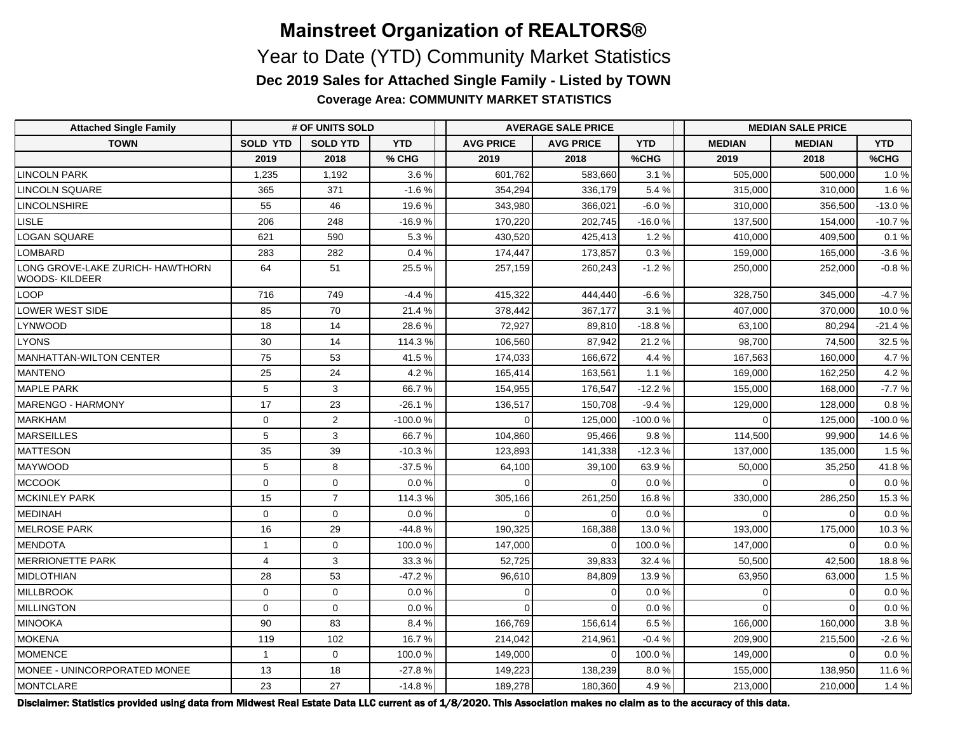**Coverage Area: COMMUNITY MARKET STATISTICS**

| <b>Attached Single Family</b>                            | # OF UNITS SOLD |                 |            |                  | <b>AVERAGE SALE PRICE</b> |            | <b>MEDIAN SALE PRICE</b> |               |            |  |
|----------------------------------------------------------|-----------------|-----------------|------------|------------------|---------------------------|------------|--------------------------|---------------|------------|--|
| <b>TOWN</b>                                              | <b>SOLD YTD</b> | <b>SOLD YTD</b> | <b>YTD</b> | <b>AVG PRICE</b> | <b>AVG PRICE</b>          | <b>YTD</b> | <b>MEDIAN</b>            | <b>MEDIAN</b> | <b>YTD</b> |  |
|                                                          | 2019            | 2018            | % CHG      | 2019             | 2018                      | %CHG       | 2019                     | 2018          | %CHG       |  |
| <b>LINCOLN PARK</b>                                      | 1,235           | 1,192           | 3.6%       | 601,762          | 583,660                   | 3.1%       | 505,000                  | 500,000       | 1.0%       |  |
| LINCOLN SQUARE                                           | 365             | 371             | $-1.6%$    | 354,294          | 336,179                   | 5.4%       | 315,000                  | 310,000       | 1.6%       |  |
| <b>LINCOLNSHIRE</b>                                      | 55              | 46              | 19.6%      | 343,980          | 366,021                   | $-6.0%$    | 310,000                  | 356,500       | $-13.0%$   |  |
| <b>LISLE</b>                                             | 206             | 248             | $-16.9%$   | 170,220          | 202,745                   | $-16.0%$   | 137,500                  | 154,000       | $-10.7%$   |  |
| <b>LOGAN SQUARE</b>                                      | 621             | 590             | 5.3%       | 430,520          | 425,413                   | 1.2%       | 410,000                  | 409,500       | 0.1%       |  |
| <b>LOMBARD</b>                                           | 283             | 282             | 0.4%       | 174,447          | 173,857                   | 0.3%       | 159,000                  | 165,000       | $-3.6%$    |  |
| LONG GROVE-LAKE ZURICH- HAWTHORN<br><b>WOODS-KILDEER</b> | 64              | 51              | 25.5%      | 257,159          | 260,243                   | $-1.2%$    | 250,000                  | 252,000       | $-0.8%$    |  |
| LOOP                                                     | 716             | 749             | $-4.4%$    | 415,322          | 444,440                   | $-6.6%$    | 328,750                  | 345,000       | $-4.7%$    |  |
| LOWER WEST SIDE                                          | 85              | 70              | 21.4%      | 378,442          | 367,177                   | 3.1%       | 407,000                  | 370,000       | 10.0%      |  |
| <b>LYNWOOD</b>                                           | 18              | 14              | 28.6%      | 72,927           | 89,810                    | $-18.8%$   | 63,100                   | 80,294        | $-21.4%$   |  |
| <b>LYONS</b>                                             | 30              | 14              | 114.3%     | 106,560          | 87,942                    | 21.2%      | 98,700                   | 74,500        | 32.5%      |  |
| <b>MANHATTAN-WILTON CENTER</b>                           | 75              | 53              | 41.5%      | 174,033          | 166.672                   | 4.4 %      | 167,563                  | 160.000       | 4.7%       |  |
| <b>MANTENO</b>                                           | 25              | 24              | 4.2%       | 165,414          | 163,561                   | 1.1%       | 169,000                  | 162,250       | 4.2%       |  |
| <b>MAPLE PARK</b>                                        | 5               | $\mathbf{3}$    | 66.7%      | 154,955          | 176,547                   | $-12.2%$   | 155,000                  | 168,000       | $-7.7%$    |  |
| MARENGO - HARMONY                                        | 17              | 23              | $-26.1%$   | 136,517          | 150,708                   | $-9.4%$    | 129,000                  | 128,000       | 0.8%       |  |
| MARKHAM                                                  | $\mathbf 0$     | $\overline{2}$  | -100.0%    | $\Omega$         | 125,000                   | $-100.0%$  | $\Omega$                 | 125,000       | $-100.0%$  |  |
| MARSEILLES                                               | 5               | 3               | 66.7%      | 104,860          | 95,466                    | 9.8%       | 114,500                  | 99,900        | 14.6%      |  |
| <b>MATTESON</b>                                          | 35              | 39              | $-10.3%$   | 123,893          | 141,338                   | $-12.3%$   | 137,000                  | 135,000       | 1.5%       |  |
| <b>IMAYWOOD</b>                                          | 5               | 8               | $-37.5%$   | 64,100           | 39,100                    | 63.9%      | 50,000                   | 35,250        | 41.8%      |  |
| <b>MCCOOK</b>                                            | $\mathbf 0$     | $\mathbf 0$     | 0.0%       | $\Omega$         |                           | 0.0%       | $\Omega$                 | $\Omega$      | 0.0%       |  |
| <b>MCKINLEY PARK</b>                                     | 15              | $\overline{7}$  | 114.3%     | 305,166          | 261,250                   | 16.8%      | 330,000                  | 286,250       | 15.3%      |  |
| MEDINAH                                                  | $\mathbf 0$     | 0               | 0.0%       | $\Omega$         | $\Omega$                  | 0.0%       | $\Omega$                 | $\Omega$      | 0.0 %      |  |
| MELROSE PARK                                             | 16              | 29              | -44.8%     | 190,325          | 168,388                   | 13.0%      | 193,000                  | 175,000       | 10.3%      |  |
| MENDOTA                                                  | $\mathbf{1}$    | $\mathbf 0$     | 100.0%     | 147,000          |                           | 100.0%     | 147,000                  | $\Omega$      | 0.0%       |  |
| <b>MERRIONETTE PARK</b>                                  | $\overline{4}$  | 3               | 33.3%      | 52,725           | 39,833                    | 32.4 %     | 50,500                   | 42,500        | 18.8%      |  |
| MIDLOTHIAN                                               | 28              | 53              | $-47.2%$   | 96,610           | 84,809                    | 13.9%      | 63,950                   | 63,000        | 1.5%       |  |
| <b>MILLBROOK</b>                                         | $\mathbf 0$     | $\mathbf 0$     | 0.0%       | $\Omega$         | $\Omega$                  | 0.0%       | $\Omega$                 | $\Omega$      | 0.0%       |  |
| <b>MILLINGTON</b>                                        | $\mathbf 0$     | $\mathbf 0$     | 0.0%       | $\Omega$         | $\Omega$                  | 0.0%       | $\Omega$                 | $\Omega$      | 0.0%       |  |
| MINOOKA                                                  | 90              | 83              | 8.4%       | 166,769          | 156,614                   | 6.5%       | 166,000                  | 160,000       | 3.8%       |  |
| MOKENA                                                   | 119             | 102             | 16.7%      | 214,042          | 214,961                   | $-0.4%$    | 209,900                  | 215,500       | $-2.6%$    |  |
| MOMENCE                                                  | $\mathbf{1}$    | $\mathbf 0$     | 100.0%     | 149,000          | $\Omega$                  | 100.0%     | 149,000                  | $\Omega$      | 0.0 %      |  |
| MONEE - UNINCORPORATED MONEE                             | 13              | 18              | -27.8 %    | 149,223          | 138,239                   | 8.0%       | 155,000                  | 138,950       | 11.6%      |  |
| MONTCLARE                                                | 23              | 27              | $-14.8%$   | 189,278          | 180,360                   | 4.9%       | 213,000                  | 210,000       | 1.4%       |  |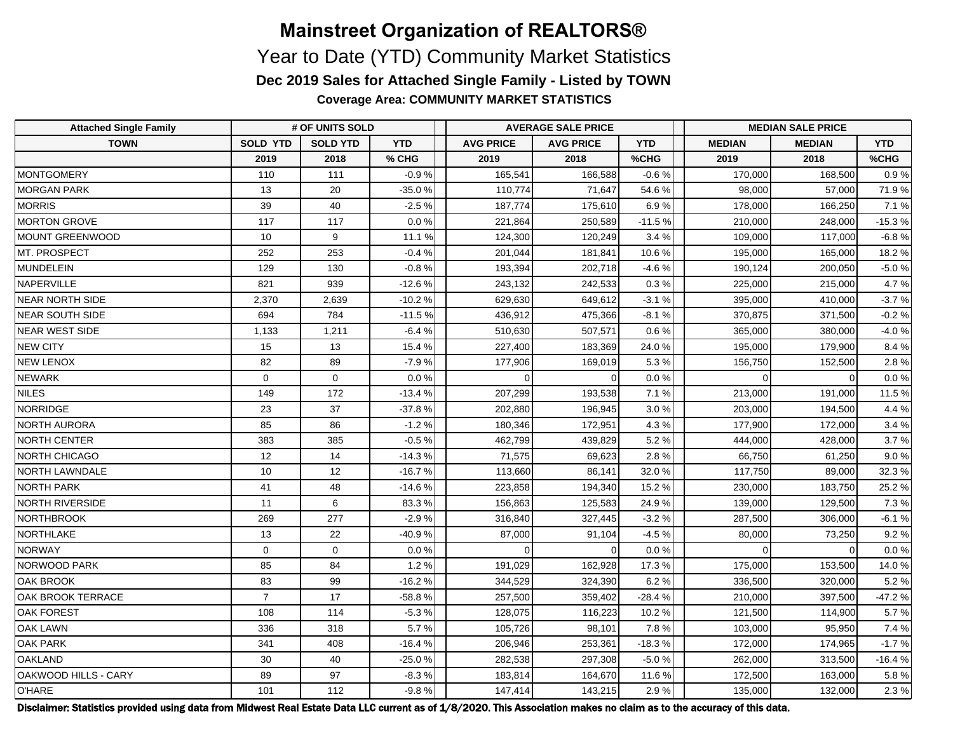**Coverage Area: COMMUNITY MARKET STATISTICS**

| <b>Attached Single Family</b> | # OF UNITS SOLD |                 |            | <b>AVERAGE SALE PRICE</b> |                  |            | <b>MEDIAN SALE PRICE</b> |               |            |  |
|-------------------------------|-----------------|-----------------|------------|---------------------------|------------------|------------|--------------------------|---------------|------------|--|
| <b>TOWN</b>                   | <b>SOLD YTD</b> | <b>SOLD YTD</b> | <b>YTD</b> | <b>AVG PRICE</b>          | <b>AVG PRICE</b> | <b>YTD</b> | <b>MEDIAN</b>            | <b>MEDIAN</b> | <b>YTD</b> |  |
|                               | 2019            | 2018            | % CHG      | 2019                      | 2018             | %CHG       | 2019                     | 2018          | %CHG       |  |
| MONTGOMERY                    | 110             | 111             | $-0.9%$    | 165,541                   | 166,588          | $-0.6%$    | 170,000                  | 168,500       | 0.9%       |  |
| <b>MORGAN PARK</b>            | 13              | 20              | $-35.0%$   | 110,774                   | 71,647           | 54.6%      | 98,000                   | 57,000        | 71.9%      |  |
| <b>MORRIS</b>                 | 39              | 40              | $-2.5%$    | 187,774                   | 175,610          | 6.9%       | 178,000                  | 166,250       | 7.1%       |  |
| <b>MORTON GROVE</b>           | 117             | 117             | 0.0%       | 221,864                   | 250,589          | $-11.5%$   | 210,000                  | 248,000       | $-15.3%$   |  |
| MOUNT GREENWOOD               | 10              | 9               | 11.1 %     | 124,300                   | 120,249          | 3.4%       | 109,000                  | 117,000       | $-6.8%$    |  |
| MT. PROSPECT                  | 252             | 253             | $-0.4%$    | 201,044                   | 181,841          | 10.6%      | 195,000                  | 165,000       | 18.2%      |  |
| MUNDELEIN                     | 129             | 130             | $-0.8%$    | 193,394                   | 202,718          | $-4.6%$    | 190,124                  | 200,050       | $-5.0%$    |  |
| NAPERVILLE                    | 821             | 939             | $-12.6%$   | 243,132                   | 242,533          | 0.3 %      | 225,000                  | 215,000       | 4.7%       |  |
| <b>NEAR NORTH SIDE</b>        | 2,370           | 2,639           | $-10.2%$   | 629,630                   | 649,612          | $-3.1%$    | 395,000                  | 410,000       | $-3.7%$    |  |
| NEAR SOUTH SIDE               | 694             | 784             | $-11.5%$   | 436,912                   | 475,366          | $-8.1%$    | 370,875                  | 371,500       | $-0.2%$    |  |
| <b>NEAR WEST SIDE</b>         | 1,133           | 1,211           | $-6.4%$    | 510,630                   | 507,571          | 0.6%       | 365,000                  | 380,000       | $-4.0%$    |  |
| <b>NEW CITY</b>               | 15              | 13              | 15.4%      | 227,400                   | 183,369          | 24.0%      | 195,000                  | 179,900       | 8.4%       |  |
| <b>NEW LENOX</b>              | 82              | 89              | $-7.9%$    | 177,906                   | 169,019          | 5.3%       | 156,750                  | 152,500       | 2.8%       |  |
| <b>NEWARK</b>                 | $\Omega$        | $\mathbf 0$     | 0.0%       | $\Omega$                  |                  | 0.0%       | $\Omega$                 | $\Omega$      | $0.0 \%$   |  |
| <b>NILES</b>                  | 149             | 172             | $-13.4%$   | 207,299                   | 193,538          | 7.1%       | 213,000                  | 191,000       | 11.5 %     |  |
| <b>NORRIDGE</b>               | 23              | 37              | $-37.8%$   | 202,880                   | 196,945          | 3.0%       | 203,000                  | 194,500       | 4.4%       |  |
| NORTH AURORA                  | 85              | 86              | $-1.2%$    | 180,346                   | 172,951          | 4.3%       | 177,900                  | 172,000       | 3.4%       |  |
| NORTH CENTER                  | 383             | 385             | $-0.5%$    | 462,799                   | 439,829          | 5.2%       | 444,000                  | 428,000       | 3.7%       |  |
| <b>NORTH CHICAGO</b>          | 12              | 14              | $-14.3%$   | 71,575                    | 69,623           | 2.8%       | 66,750                   | 61,250        | 9.0%       |  |
| <b>NORTH LAWNDALE</b>         | 10              | 12              | $-16.7%$   | 113,660                   | 86,141           | 32.0%      | 117,750                  | 89,000        | 32.3%      |  |
| <b>NORTH PARK</b>             | 41              | 48              | $-14.6%$   | 223,858                   | 194,340          | 15.2%      | 230,000                  | 183,750       | 25.2%      |  |
| <b>NORTH RIVERSIDE</b>        | 11              | 6               | 83.3%      | 156,863                   | 125,583          | 24.9%      | 139,000                  | 129,500       | 7.3%       |  |
| NORTHBROOK                    | 269             | 277             | $-2.9%$    | 316,840                   | 327,445          | $-3.2%$    | 287,500                  | 306,000       | $-6.1%$    |  |
| NORTHLAKE                     | 13              | 22              | -40.9%     | 87,000                    | 91,104           | $-4.5%$    | 80,000                   | 73,250        | 9.2%       |  |
| NORWAY                        | $\mathbf 0$     | $\mathbf 0$     | 0.0%       | $\Omega$                  |                  | $0.0 \%$   | $\Omega$                 | $\Omega$      | $0.0 \%$   |  |
| NORWOOD PARK                  | 85              | 84              | 1.2%       | 191,029                   | 162,928          | 17.3%      | 175,000                  | 153,500       | 14.0%      |  |
| <b>OAK BROOK</b>              | 83              | 99              | $-16.2%$   | 344,529                   | 324,390          | 6.2%       | 336,500                  | 320,000       | 5.2%       |  |
| <b>OAK BROOK TERRACE</b>      | $\overline{7}$  | 17              | $-58.8%$   | 257,500                   | 359,402          | $-28.4%$   | 210,000                  | 397,500       | $-47.2%$   |  |
| <b>OAK FOREST</b>             | 108             | 114             | $-5.3%$    | 128,075                   | 116,223          | 10.2%      | 121,500                  | 114,900       | 5.7%       |  |
| <b>OAK LAWN</b>               | 336             | 318             | 5.7%       | 105,726                   | 98,101           | 7.8%       | 103,000                  | 95,950        | 7.4 %      |  |
| <b>OAK PARK</b>               | 341             | 408             | $-16.4%$   | 206,946                   | 253,361          | $-18.3%$   | 172,000                  | 174,965       | $-1.7%$    |  |
| OAKLAND                       | 30              | 40              | $-25.0%$   | 282,538                   | 297,308          | $-5.0%$    | 262,000                  | 313,500       | $-16.4%$   |  |
| OAKWOOD HILLS - CARY          | 89              | 97              | $-8.3%$    | 183,814                   | 164,670          | 11.6%      | 172,500                  | 163,000       | 5.8%       |  |
| O'HARE                        | 101             | 112             | $-9.8%$    | 147,414                   | 143,215          | 2.9%       | 135,000                  | 132,000       | 2.3%       |  |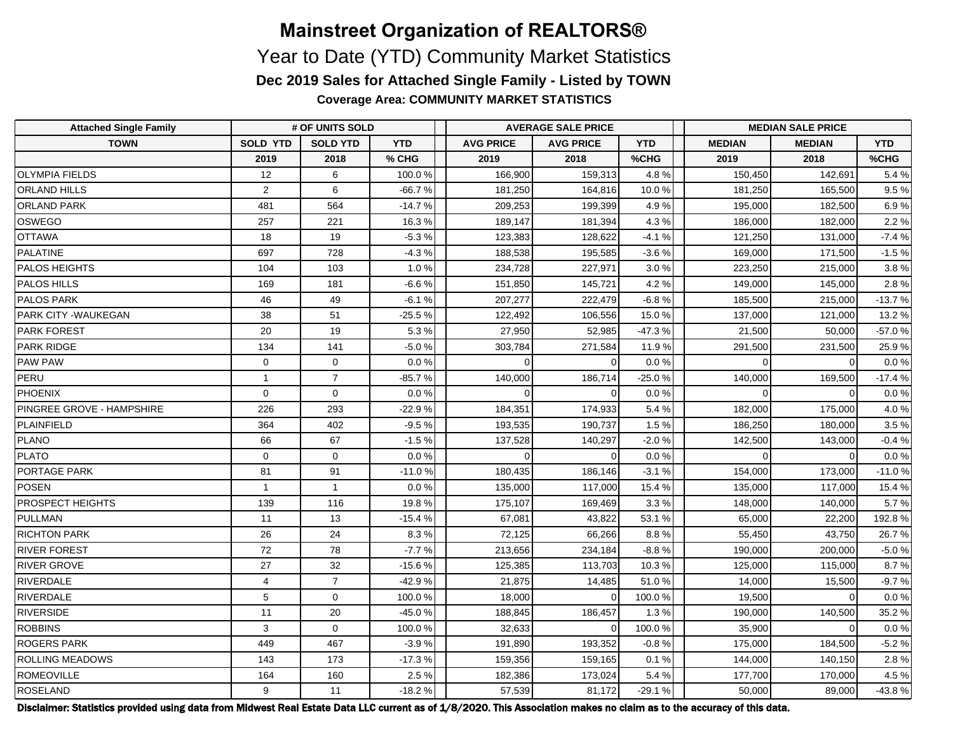**Coverage Area: COMMUNITY MARKET STATISTICS**

| <b>Attached Single Family</b> | # OF UNITS SOLD |                 |            | <b>AVERAGE SALE PRICE</b> |                  |            | <b>MEDIAN SALE PRICE</b> |               |            |  |
|-------------------------------|-----------------|-----------------|------------|---------------------------|------------------|------------|--------------------------|---------------|------------|--|
| <b>TOWN</b>                   | <b>SOLD YTD</b> | <b>SOLD YTD</b> | <b>YTD</b> | <b>AVG PRICE</b>          | <b>AVG PRICE</b> | <b>YTD</b> | <b>MEDIAN</b>            | <b>MEDIAN</b> | <b>YTD</b> |  |
|                               | 2019            | 2018            | % CHG      | 2019                      | 2018             | %CHG       | 2019                     | 2018          | %CHG       |  |
| <b>OLYMPIA FIELDS</b>         | 12              | 6               | 100.0%     | 166,900                   | 159,313          | 4.8%       | 150,450                  | 142,691       | 5.4%       |  |
| <b>ORLAND HILLS</b>           | $\overline{2}$  | $\,6$           | $-66.7%$   | 181,250                   | 164,816          | 10.0%      | 181,250                  | 165,500       | 9.5%       |  |
| <b>ORLAND PARK</b>            | 481             | 564             | $-14.7%$   | 209,253                   | 199,399          | 4.9%       | 195,000                  | 182,500       | 6.9%       |  |
| OSWEGO                        | 257             | 221             | 16.3%      | 189,147                   | 181,394          | 4.3%       | 186,000                  | 182,000       | 2.2%       |  |
| <b>OTTAWA</b>                 | 18              | 19              | $-5.3%$    | 123,383                   | 128,622          | $-4.1%$    | 121,250                  | 131,000       | $-7.4%$    |  |
| PALATINE                      | 697             | 728             | $-4.3%$    | 188,538                   | 195,585          | $-3.6%$    | 169,000                  | 171,500       | $-1.5%$    |  |
| <b>PALOS HEIGHTS</b>          | 104             | 103             | 1.0%       | 234,728                   | 227,971          | 3.0%       | 223,250                  | 215,000       | 3.8%       |  |
| <b>PALOS HILLS</b>            | 169             | 181             | $-6.6%$    | 151,850                   | 145,721          | 4.2%       | 149,000                  | 145,000       | 2.8%       |  |
| <b>PALOS PARK</b>             | 46              | 49              | $-6.1%$    | 207,277                   | 222,479          | $-6.8%$    | 185,500                  | 215,000       | $-13.7%$   |  |
| <b>PARK CITY -WAUKEGAN</b>    | 38              | 51              | 25.5%      | 122,492                   | 106,556          | 15.0%      | 137,000                  | 121,000       | 13.2%      |  |
| <b>PARK FOREST</b>            | 20              | 19              | 5.3%       | 27,950                    | 52,985           | $-47.3%$   | 21,500                   | 50,000        | $-57.0%$   |  |
| <b>PARK RIDGE</b>             | 134             | 141             | $-5.0%$    | 303,784                   | 271,584          | 11.9%      | 291,500                  | 231,500       | 25.9%      |  |
| <b>PAW PAW</b>                | $\mathbf 0$     | $\mathbf 0$     | 0.0%       | $\Omega$                  |                  | 0.0%       | $\Omega$                 | $\Omega$      | 0.0%       |  |
| PERU                          | $\mathbf{1}$    | $\overline{7}$  | $-85.7%$   | 140,000                   | 186,714          | $-25.0%$   | 140,000                  | 169,500       | $-17.4%$   |  |
| <b>PHOENIX</b>                | $\mathbf 0$     | $\mathbf 0$     | 0.0%       | $\Omega$                  |                  | 0.0%       | $\Omega$                 | $\Omega$      | $0.0 \%$   |  |
| PINGREE GROVE - HAMPSHIRE     | 226             | 293             | $-22.9%$   | 184,351                   | 174,933          | 5.4%       | 182,000                  | 175,000       | 4.0%       |  |
| PLAINFIELD                    | 364             | 402             | $-9.5%$    | 193,535                   | 190,737          | 1.5%       | 186,250                  | 180,000       | 3.5%       |  |
| PLANO                         | 66              | 67              | $-1.5%$    | 137,528                   | 140,297          | $-2.0%$    | 142,500                  | 143,000       | $-0.4%$    |  |
| PLATO                         | $\mathbf 0$     | $\mathbf 0$     | 0.0%       | $\Omega$                  |                  | 0.0%       | $\Omega$                 | $\Omega$      | 0.0%       |  |
| <b>PORTAGE PARK</b>           | 81              | 91              | $-11.0%$   | 180,435                   | 186,146          | $-3.1%$    | 154,000                  | 173,000       | $-11.0%$   |  |
| POSEN                         | $\mathbf{1}$    | $\mathbf{1}$    | 0.0 %      | 135,000                   | 117,000          | 15.4%      | 135,000                  | 117,000       | 15.4 %     |  |
| <b>PROSPECT HEIGHTS</b>       | 139             | 116             | 19.8%      | 175,107                   | 169,469          | 3.3%       | 148,000                  | 140,000       | 5.7%       |  |
| PULLMAN                       | 11              | 13              | $-15.4%$   | 67,081                    | 43,822           | 53.1%      | 65,000                   | 22,200        | 192.8%     |  |
| <b>RICHTON PARK</b>           | 26              | 24              | 8.3%       | 72,125                    | 66,266           | 8.8%       | 55,450                   | 43,750        | 26.7%      |  |
| <b>RIVER FOREST</b>           | 72              | 78              | $-7.7%$    | 213,656                   | 234,184          | $-8.8%$    | 190,000                  | 200,000       | $-5.0%$    |  |
| <b>RIVER GROVE</b>            | 27              | 32              | $-15.6%$   | 125,385                   | 113,703          | 10.3%      | 125,000                  | 115,000       | 8.7%       |  |
| RIVERDALE                     | $\overline{4}$  | $\overline{7}$  | $-42.9%$   | 21,875                    | 14,485           | 51.0%      | 14,000                   | 15,500        | $-9.7%$    |  |
| RIVERDALE                     | 5               | $\mathbf 0$     | 100.0%     | 18,000                    | $\Omega$         | 100.0%     | 19,500                   | $\mathbf 0$   | $0.0 \%$   |  |
| <b>RIVERSIDE</b>              | 11              | 20              | -45.0%     | 188,845                   | 186,457          | 1.3%       | 190,000                  | 140,500       | 35.2%      |  |
| <b>ROBBINS</b>                | 3               | $\mathbf 0$     | 100.0%     | 32,633                    | $\Omega$         | 100.0%     | 35,900                   | $\Omega$      | $0.0\,\%$  |  |
| <b>ROGERS PARK</b>            | 449             | 467             | $-3.9%$    | 191,890                   | 193,352          | $-0.8%$    | 175,000                  | 184,500       | $-5.2%$    |  |
| <b>ROLLING MEADOWS</b>        | 143             | 173             | $-17.3%$   | 159,356                   | 159,165          | 0.1%       | 144,000                  | 140,150       | 2.8%       |  |
| ROMEOVILLE                    | 164             | 160             | 2.5%       | 182,386                   | 173,024          | 5.4%       | 177,700                  | 170,000       | 4.5%       |  |
| ROSELAND                      | 9               | 11              | $-18.2%$   | 57,539                    | 81,172           | $-29.1%$   | 50,000                   | 89,000        | $-43.8%$   |  |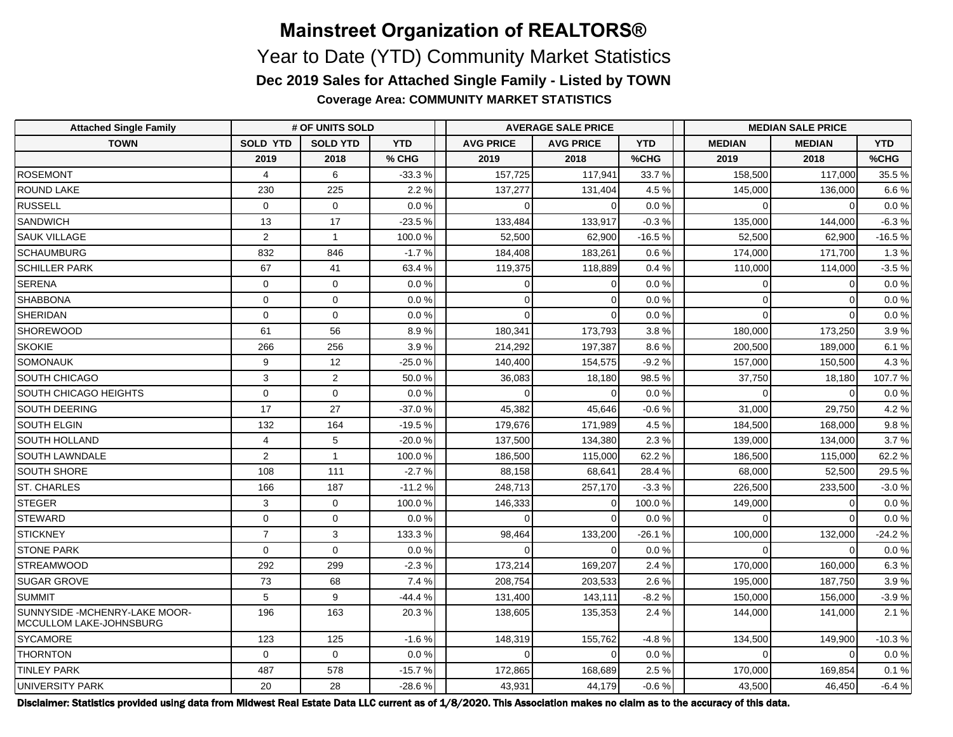**Coverage Area: COMMUNITY MARKET STATISTICS**

| <b>Attached Single Family</b>                             | # OF UNITS SOLD |                 |            | <b>AVERAGE SALE PRICE</b> |                  |            | <b>MEDIAN SALE PRICE</b> |               |            |  |
|-----------------------------------------------------------|-----------------|-----------------|------------|---------------------------|------------------|------------|--------------------------|---------------|------------|--|
| <b>TOWN</b>                                               | <b>SOLD YTD</b> | <b>SOLD YTD</b> | <b>YTD</b> | <b>AVG PRICE</b>          | <b>AVG PRICE</b> | <b>YTD</b> | <b>MEDIAN</b>            | <b>MEDIAN</b> | <b>YTD</b> |  |
|                                                           | 2019            | 2018            | % CHG      | 2019                      | 2018             | %CHG       | 2019                     | 2018          | %CHG       |  |
| <b>ROSEMONT</b>                                           | $\overline{4}$  | 6               | $-33.3%$   | 157,725                   | 117,941          | 33.7%      | 158,500                  | 117,000       | 35.5%      |  |
| <b>ROUND LAKE</b>                                         | 230             | 225             | 2.2%       | 137,277                   | 131,404          | 4.5%       | 145,000                  | 136,000       | 6.6%       |  |
| <b>RUSSELL</b>                                            | $\mathbf 0$     | $\mathbf 0$     | 0.0%       | $\Omega$                  |                  | 0.0%       | $\Omega$                 | $\Omega$      | 0.0 %      |  |
| <b>SANDWICH</b>                                           | 13              | 17              | $-23.5%$   | 133,484                   | 133,917          | $-0.3%$    | 135,000                  | 144,000       | $-6.3%$    |  |
| <b>SAUK VILLAGE</b>                                       | $\overline{2}$  | $\overline{1}$  | 100.0%     | 52,500                    | 62,900           | $-16.5%$   | 52,500                   | 62,900        | $-16.5%$   |  |
| <b>SCHAUMBURG</b>                                         | 832             | 846             | $-1.7%$    | 184,408                   | 183,261          | 0.6%       | 174,000                  | 171,700       | 1.3%       |  |
| <b>SCHILLER PARK</b>                                      | 67              | 41              | 63.4%      | 119,375                   | 118,889          | 0.4%       | 110,000                  | 114,000       | $-3.5%$    |  |
| SERENA                                                    | $\mathbf 0$     | 0               | 0.0%       | $\Omega$                  |                  | 0.0%       | 0                        | $\Omega$      | 0.0 %      |  |
| SHABBONA                                                  | $\mathbf 0$     | $\mathbf 0$     | 0.0%       | $\Omega$                  | ∩                | 0.0%       | $\overline{0}$           | $\Omega$      | 0.0 %      |  |
| SHERIDAN                                                  | $\mathbf 0$     | $\mathbf 0$     | 0.0%       | $\Omega$                  |                  | 0.0%       | $\Omega$                 | $\Omega$      | 0.0%       |  |
| SHOREWOOD                                                 | 61              | 56              | 8.9%       | 180,341                   | 173,793          | 3.8%       | 180,000                  | 173,250       | 3.9%       |  |
| <b>SKOKIE</b>                                             | 266             | 256             | 3.9%       | 214,292                   | 197,387          | 8.6%       | 200,500                  | 189,000       | 6.1%       |  |
| SOMONAUK                                                  | 9               | 12              | $-25.0%$   | 140,400                   | 154,575          | $-9.2%$    | 157,000                  | 150,500       | 4.3%       |  |
| SOUTH CHICAGO                                             | 3               | $\overline{2}$  | 50.0%      | 36,083                    | 18,180           | 98.5%      | 37,750                   | 18,180        | 107.7%     |  |
| <b>SOUTH CHICAGO HEIGHTS</b>                              | $\mathbf 0$     | $\mathbf 0$     | 0.0%       |                           |                  | 0.0%       |                          |               | $0.0 \%$   |  |
| <b>SOUTH DEERING</b>                                      | 17              | 27              | $-37.0%$   | 45,382                    | 45,646           | $-0.6%$    | 31,000                   | 29,750        | 4.2%       |  |
| <b>SOUTH ELGIN</b>                                        | 132             | 164             | $-19.5%$   | 179,676                   | 171,989          | 4.5%       | 184,500                  | 168,000       | 9.8%       |  |
| <b>SOUTH HOLLAND</b>                                      | $\overline{4}$  | 5               | $-20.0%$   | 137,500                   | 134,380          | 2.3%       | 139,000                  | 134,000       | 3.7%       |  |
| <b>SOUTH LAWNDALE</b>                                     | $\overline{2}$  | $\mathbf{1}$    | 100.0%     | 186,500                   | 115,000          | 62.2%      | 186,500                  | 115,000       | 62.2%      |  |
| <b>SOUTH SHORE</b>                                        | 108             | 111             | $-2.7%$    | 88,158                    | 68,641           | 28.4%      | 68,000                   | 52,500        | 29.5%      |  |
| <b>ST. CHARLES</b>                                        | 166             | 187             | $-11.2%$   | 248,713                   | 257,170          | $-3.3%$    | 226,500                  | 233,500       | $-3.0%$    |  |
| STEGER                                                    | 3               | $\mathbf 0$     | 100.0%     | 146,333                   |                  | 100.0%     | 149,000                  |               | 0.0 %      |  |
| STEWARD                                                   | $\mathbf 0$     | $\mathbf 0$     | 0.0%       | $\Omega$                  |                  | 0.0%       | $\Omega$                 |               | 0.0%       |  |
| STICKNEY                                                  | $\overline{7}$  | 3               | 133.3%     | 98,464                    | 133,200          | $-26.1%$   | 100,000                  | 132,000       | -24.2 %    |  |
| <b>STONE PARK</b>                                         | $\mathbf 0$     | $\mathbf 0$     | 0.0%       | $\Omega$                  | $\Omega$         | 0.0%       | $\Omega$                 | $\Omega$      | $0.0 \%$   |  |
| STREAMWOOD                                                | 292             | 299             | $-2.3%$    | 173,214                   | 169,207          | 2.4 %      | 170,000                  | 160,000       | 6.3%       |  |
| <b>SUGAR GROVE</b>                                        | 73              | 68              | 7.4 %      | 208,754                   | 203,533          | 2.6%       | 195,000                  | 187,750       | 3.9%       |  |
| <b>SUMMIT</b>                                             | 5               | 9               | -44.4 %    | 131,400                   | 143,111          | $-8.2%$    | 150,000                  | 156,000       | $-3.9%$    |  |
| SUNNYSIDE - MCHENRY-LAKE MOOR-<br>MCCULLOM LAKE-JOHNSBURG | 196             | 163             | 20.3%      | 138,605                   | 135,353          | 2.4%       | 144,000                  | 141,000       | 2.1%       |  |
| SYCAMORE                                                  | 123             | 125             | $-1.6%$    | 148,319                   | 155,762          | $-4.8%$    | 134,500                  | 149,900       | $-10.3%$   |  |
| <b>THORNTON</b>                                           | $\mathbf 0$     | $\mathbf 0$     | 0.0%       | $\Omega$                  |                  | 0.0%       | $\Omega$                 | $\Omega$      | $0.0 \%$   |  |
| <b>TINLEY PARK</b>                                        | 487             | 578             | $-15.7%$   | 172,865                   | 168,689          | 2.5%       | 170,000                  | 169,854       | 0.1%       |  |
| <b>UNIVERSITY PARK</b>                                    | 20              | 28              | $-28.6%$   | 43,931                    | 44,179           | $-0.6%$    | 43,500                   | 46,450        | $-6.4%$    |  |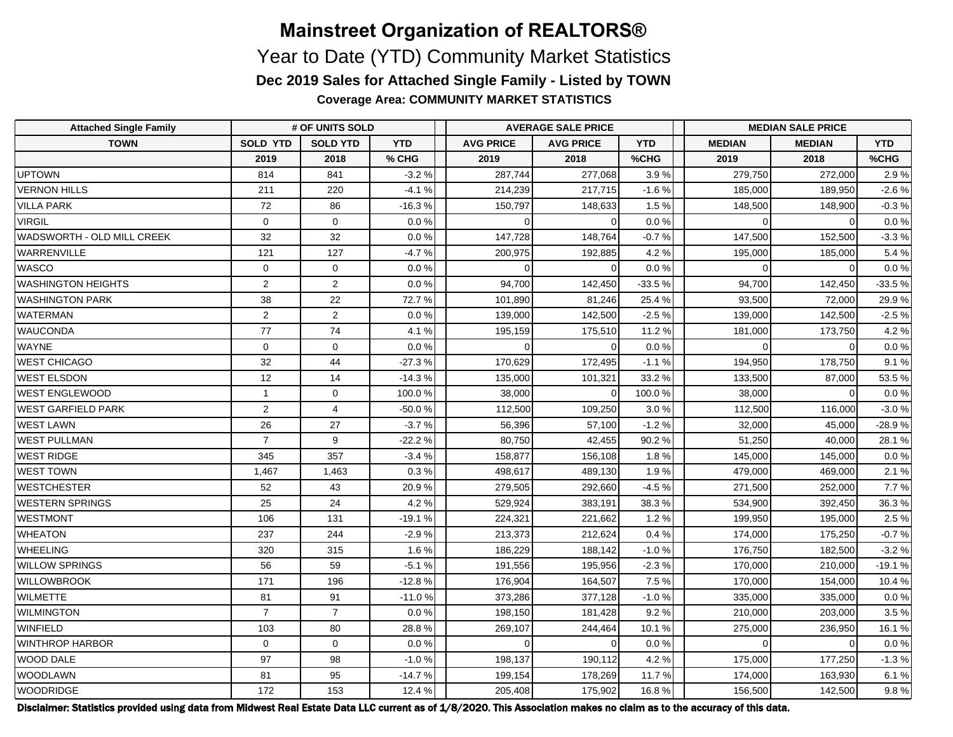**Coverage Area: COMMUNITY MARKET STATISTICS**

| <b>Attached Single Family</b> | # OF UNITS SOLD |                 |            | <b>AVERAGE SALE PRICE</b> |                  |            | <b>MEDIAN SALE PRICE</b> |               |            |  |
|-------------------------------|-----------------|-----------------|------------|---------------------------|------------------|------------|--------------------------|---------------|------------|--|
| <b>TOWN</b>                   | <b>SOLD YTD</b> | <b>SOLD YTD</b> | <b>YTD</b> | <b>AVG PRICE</b>          | <b>AVG PRICE</b> | <b>YTD</b> | <b>MEDIAN</b>            | <b>MEDIAN</b> | <b>YTD</b> |  |
|                               | 2019            | 2018            | % CHG      | 2019                      | 2018             | %CHG       | 2019                     | 2018          | %CHG       |  |
| <b>UPTOWN</b>                 | 814             | 841             | $-3.2%$    | 287,744                   | 277,068          | 3.9%       | 279,750                  | 272,000       | 2.9%       |  |
| <b>VERNON HILLS</b>           | 211             | 220             | $-4.1%$    | 214,239                   | 217,715          | $-1.6%$    | 185,000                  | 189,950       | $-2.6%$    |  |
| <b>VILLA PARK</b>             | 72              | 86              | $-16.3%$   | 150,797                   | 148,633          | 1.5%       | 148,500                  | 148,900       | $-0.3%$    |  |
| <b>VIRGIL</b>                 | $\mathbf 0$     | $\mathbf 0$     | 0.0%       | $\Omega$                  |                  | 0.0%       | $\Omega$                 | $\Omega$      | 0.0 %      |  |
| WADSWORTH - OLD MILL CREEK    | 32              | 32              | 0.0%       | 147,728                   | 148,764          | $-0.7%$    | 147,500                  | 152,500       | $-3.3%$    |  |
| <b>WARRENVILLE</b>            | 121             | 127             | $-4.7%$    | 200,975                   | 192,885          | 4.2%       | 195,000                  | 185,000       | 5.4%       |  |
| <b>WASCO</b>                  | $\mathbf 0$     | $\mathbf 0$     | 0.0%       | $\Omega$                  |                  | 0.0%       | $\Omega$                 | $\Omega$      | 0.0%       |  |
| <b>WASHINGTON HEIGHTS</b>     | $\overline{2}$  | $\overline{2}$  | 0.0%       | 94,700                    | 142,450          | $-33.5%$   | 94,700                   | 142,450       | $-33.5%$   |  |
| <b>WASHINGTON PARK</b>        | 38              | 22              | 72.7%      | 101,890                   | 81,246           | 25.4%      | 93,500                   | 72,000        | 29.9%      |  |
| <b>WATERMAN</b>               | $\overline{2}$  | $\overline{2}$  | 0.0%       | 139,000                   | 142,500          | $-2.5%$    | 139,000                  | 142,500       | $-2.5%$    |  |
| <b>WAUCONDA</b>               | 77              | 74              | 4.1%       | 195,159                   | 175,510          | 11.2 %     | 181,000                  | 173,750       | 4.2%       |  |
| <b>WAYNE</b>                  | $\mathbf 0$     | $\mathbf 0$     | 0.0%       | $\Omega$                  |                  | 0.0%       | $\Omega$                 | $\Omega$      | 0.0 %      |  |
| <b>WEST CHICAGO</b>           | 32              | 44              | $-27.3%$   | 170,629                   | 172,495          | $-1.1%$    | 194,950                  | 178,750       | 9.1%       |  |
| <b>WEST ELSDON</b>            | 12              | 14              | $-14.3%$   | 135,000                   | 101,321          | 33.2%      | 133,500                  | 87,000        | 53.5%      |  |
| <b>WEST ENGLEWOOD</b>         | $\mathbf{1}$    | $\mathbf 0$     | 100.0%     | 38,000                    |                  | 100.0%     | 38,000                   | $\Omega$      | 0.0%       |  |
| <b>WEST GARFIELD PARK</b>     | $\overline{2}$  | $\overline{4}$  | $-50.0%$   | 112,500                   | 109,250          | 3.0%       | 112,500                  | 116,000       | $-3.0%$    |  |
| <b>WEST LAWN</b>              | 26              | 27              | $-3.7%$    | 56,396                    | 57,100           | $-1.2%$    | 32,000                   | 45,000        | $-28.9%$   |  |
| <b>WEST PULLMAN</b>           | $\overline{7}$  | 9               | $-22.2%$   | 80,750                    | 42,455           | 90.2%      | 51,250                   | 40,000        | 28.1%      |  |
| <b>WEST RIDGE</b>             | 345             | 357             | $-3.4%$    | 158,877                   | 156,108          | 1.8%       | 145,000                  | 145,000       | $0.0 \%$   |  |
| <b>WEST TOWN</b>              | 1,467           | 1,463           | 0.3%       | 498,617                   | 489,130          | 1.9%       | 479,000                  | 469,000       | 2.1%       |  |
| <b>WESTCHESTER</b>            | 52              | 43              | 20.9%      | 279,505                   | 292,660          | $-4.5%$    | 271,500                  | 252,000       | 7.7%       |  |
| WESTERN SPRINGS               | 25              | 24              | 4.2%       | 529,924                   | 383,191          | 38.3%      | 534,900                  | 392,450       | 36.3%      |  |
| <b>WESTMONT</b>               | 106             | 131             | $-19.1%$   | 224,321                   | 221,662          | 1.2%       | 199,950                  | 195,000       | 2.5%       |  |
| <b>WHEATON</b>                | 237             | 244             | $-2.9%$    | 213,373                   | 212,624          | 0.4%       | 174,000                  | 175,250       | $-0.7%$    |  |
| <b>WHEELING</b>               | 320             | 315             | 1.6%       | 186,229                   | 188,142          | $-1.0%$    | 176,750                  | 182,500       | $-3.2%$    |  |
| <b>WILLOW SPRINGS</b>         | 56              | 59              | $-5.1%$    | 191,556                   | 195,956          | $-2.3%$    | 170,000                  | 210,000       | $-19.1%$   |  |
| <b>WILLOWBROOK</b>            | 171             | 196             | $-12.8%$   | 176,904                   | 164,507          | 7.5%       | 170,000                  | 154,000       | 10.4 %     |  |
| <b>WILMETTE</b>               | 81              | 91              | $-11.0%$   | 373,286                   | 377,128          | $-1.0%$    | 335,000                  | 335,000       | 0.0%       |  |
| <b>WILMINGTON</b>             | $\overline{7}$  | $\overline{7}$  | 0.0%       | 198,150                   | 181,428          | 9.2%       | 210,000                  | 203,000       | 3.5%       |  |
| WINFIELD                      | 103             | 80              | 28.8%      | 269,107                   | 244,464          | 10.1%      | 275,000                  | 236,950       | 16.1%      |  |
| <b>WINTHROP HARBOR</b>        | $\mathbf 0$     | $\mathbf 0$     | 0.0%       | $\Omega$                  |                  | 0.0%       | $\Omega$                 | $\Omega$      | 0.0%       |  |
| WOOD DALE                     | 97              | 98              | $-1.0%$    | 198,137                   | 190,112          | 4.2%       | 175,000                  | 177,250       | $-1.3%$    |  |
| <b>WOODLAWN</b>               | 81              | 95              | $-14.7%$   | 199,154                   | 178,269          | 11.7%      | 174,000                  | 163,930       | 6.1%       |  |
| <b>WOODRIDGE</b>              | 172             | 153             | 12.4 %     | 205,408                   | 175,902          | 16.8%      | 156,500                  | 142,500       | 9.8%       |  |